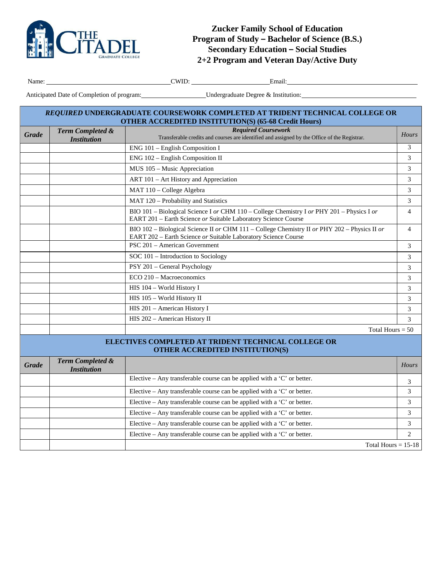

**Zucker Family School of Education Program of Study – Bachelor of Science (B.S.) Secondary Education – Social Studies 2+2 Program and Veteran Day/Active Duty**

÷,

г

Name: CWID: Email:

Anticipated Date of Completion of program: Undergraduate Degree & Institution:

| REQUIRED UNDERGRADUATE COURSEWORK COMPLETED AT TRIDENT TECHNICAL COLLEGE OR<br><b>OTHER ACCREDITED INSTITUTION(S) (65-68 Credit Hours)</b> |                                                   |                                                                                                                                                                |                |  |  |  |
|--------------------------------------------------------------------------------------------------------------------------------------------|---------------------------------------------------|----------------------------------------------------------------------------------------------------------------------------------------------------------------|----------------|--|--|--|
| <b>Grade</b>                                                                                                                               | Term Completed &                                  | <b>Required Coursework</b><br>Transferable credits and courses are identified and assigned by the Office of the Registrar.                                     | Hours          |  |  |  |
|                                                                                                                                            | <b>Institution</b>                                |                                                                                                                                                                | 3              |  |  |  |
|                                                                                                                                            |                                                   | ENG 101 - English Composition I<br>ENG 102 - English Composition II                                                                                            | 3              |  |  |  |
|                                                                                                                                            |                                                   | MUS 105 - Music Appreciation                                                                                                                                   | 3              |  |  |  |
|                                                                                                                                            |                                                   | ART 101 - Art History and Appreciation                                                                                                                         | 3              |  |  |  |
|                                                                                                                                            |                                                   |                                                                                                                                                                |                |  |  |  |
|                                                                                                                                            |                                                   | MAT 110 - College Algebra                                                                                                                                      | 3              |  |  |  |
|                                                                                                                                            |                                                   | MAT 120 - Probability and Statistics                                                                                                                           | 3              |  |  |  |
|                                                                                                                                            |                                                   | BIO 101 – Biological Science I or CHM 110 – College Chemistry I or PHY 201 – Physics I or<br>EART 201 - Earth Science or Suitable Laboratory Science Course    | $\overline{4}$ |  |  |  |
|                                                                                                                                            |                                                   | BIO 102 – Biological Science II or CHM 111 – College Chemistry II or PHY 202 – Physics II or<br>EART 202 - Earth Science or Suitable Laboratory Science Course | $\overline{4}$ |  |  |  |
|                                                                                                                                            |                                                   | PSC 201 - American Government                                                                                                                                  | 3              |  |  |  |
|                                                                                                                                            |                                                   | SOC 101 - Introduction to Sociology                                                                                                                            | 3              |  |  |  |
|                                                                                                                                            |                                                   | PSY 201 - General Psychology                                                                                                                                   | 3              |  |  |  |
|                                                                                                                                            |                                                   | ECO 210 - Macroeconomics                                                                                                                                       | 3              |  |  |  |
|                                                                                                                                            |                                                   | HIS 104 - World History I                                                                                                                                      | 3              |  |  |  |
|                                                                                                                                            |                                                   | HIS 105 - World History II                                                                                                                                     | 3              |  |  |  |
|                                                                                                                                            |                                                   | HIS 201 - American History I                                                                                                                                   | 3              |  |  |  |
|                                                                                                                                            |                                                   | HIS 202 - American History II                                                                                                                                  | 3              |  |  |  |
|                                                                                                                                            |                                                   | Total Hours = $50$                                                                                                                                             |                |  |  |  |
| ELECTIVES COMPLETED AT TRIDENT TECHNICAL COLLEGE OR<br>OTHER ACCREDITED INSTITUTION(S)                                                     |                                                   |                                                                                                                                                                |                |  |  |  |
| <b>Grade</b>                                                                                                                               | <b>Term Completed &amp;</b><br><b>Institution</b> |                                                                                                                                                                | Hours          |  |  |  |
|                                                                                                                                            |                                                   | Elective – Any transferable course can be applied with a 'C' or better.                                                                                        | 3              |  |  |  |
|                                                                                                                                            |                                                   | Elective - Any transferable course can be applied with a 'C' or better.                                                                                        | 3              |  |  |  |
|                                                                                                                                            |                                                   | Elective - Any transferable course can be applied with a 'C' or better.                                                                                        | 3              |  |  |  |
|                                                                                                                                            |                                                   | Elective – Any transferable course can be applied with a 'C' or better.                                                                                        | 3              |  |  |  |
|                                                                                                                                            |                                                   | Elective – Any transferable course can be applied with a 'C' or better.                                                                                        | 3              |  |  |  |
|                                                                                                                                            |                                                   | Elective – Any transferable course can be applied with a 'C' or better.                                                                                        | $\overline{2}$ |  |  |  |
|                                                                                                                                            |                                                   | Total Hours $= 15-18$                                                                                                                                          |                |  |  |  |